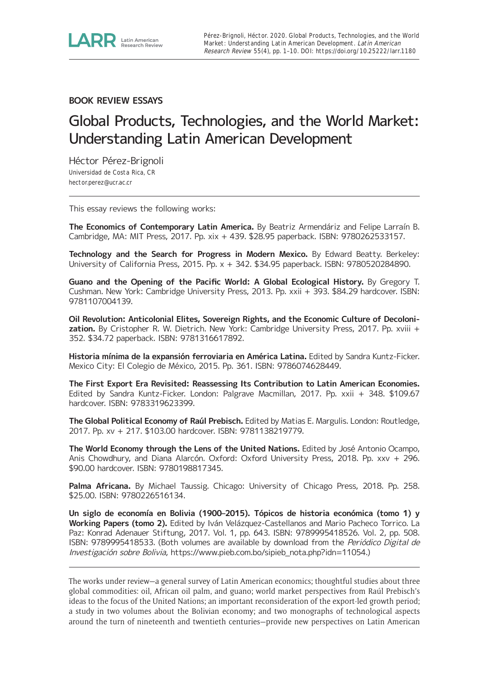

**BOOK REVIEW ESSAYS**

## Global Products, Technologies, and the World Market: Understanding Latin American Development

Héctor Pérez-Brignoli Universidad de Costa Rica, CR [hector.perez@ucr.ac.cr](mailto:hector.perez@ucr.ac.cr)

This essay reviews the following works:

**The Economics of Contemporary Latin America.** By Beatriz Armendáriz and Felipe Larraín B. Cambridge, MA: MIT Press, 2017. Pp. xix + 439. \$28.95 paperback. ISBN: 9780262533157.

**Technology and the Search for Progress in Modern Mexico.** By Edward Beatty. Berkeley: University of California Press, 2015. Pp. x + 342. \$34.95 paperback. ISBN: 9780520284890.

**Guano and the Opening of the Pacific World: A Global Ecological History.** By Gregory T. Cushman. New York: Cambridge University Press, 2013. Pp. xxii + 393. \$84.29 hardcover. ISBN: 9781107004139.

**Oil Revolution: Anticolonial Elites, Sovereign Rights, and the Economic Culture of Decolonization.** By Cristopher R. W. Dietrich. New York: Cambridge University Press, 2017. Pp. xviii + 352. \$34.72 paperback. ISBN: 9781316617892.

**Historia mínima de la expansión ferroviaria en América Latina.** Edited by Sandra Kuntz-Ficker. Mexico City: El Colegio de México, 2015. Pp. 361. ISBN: 9786074628449.

**The First Export Era Revisited: Reassessing Its Contribution to Latin American Economies.** Edited by Sandra Kuntz-Ficker. London: Palgrave Macmillan, 2017. Pp. xxii + 348. \$109.67 hardcover. ISBN: 9783319623399.

**The Global Political Economy of Raúl Prebisch.** Edited by Matias E. Margulis. London: Routledge, 2017. Pp. xv + 217. \$103.00 hardcover. ISBN: 9781138219779.

**The World Economy through the Lens of the United Nations.** Edited by José Antonio Ocampo, Anis Chowdhury, and Diana Alarcón. Oxford: Oxford University Press, 2018. Pp. xxv + 296. \$90.00 hardcover. ISBN: 9780198817345.

**Palma Africana.** By Michael Taussig. Chicago: University of Chicago Press, 2018. Pp. 258. \$25.00. ISBN: 9780226516134.

**Un siglo de economía en Bolivia (1900–2015). Tópicos de historia económica (tomo 1) y Working Papers (tomo 2).** Edited by Iván Velázquez-Castellanos and Mario Pacheco Torrico. La Paz: Konrad Adenauer Stiftung, 2017. Vol. 1, pp. 643. ISBN: 9789995418526. Vol. 2, pp. 508. ISBN: 9789995418533. (Both volumes are available by download from the Periódico Digital de Investigación sobre Bolivia, [https://www.pieb.com.bo/sipieb\\_nota.php?idn=11054.](https://www.pieb.com.bo/sipieb_nota.php?idn=11054))

The works under review—a general survey of Latin American economics; thoughtful studies about three global commodities: oil, African oil palm, and guano; world market perspectives from Raúl Prebisch's ideas to the focus of the United Nations; an important reconsideration of the export-led growth period; a study in two volumes about the Bolivian economy; and two monographs of technological aspects around the turn of nineteenth and twentieth centuries—provide new perspectives on Latin American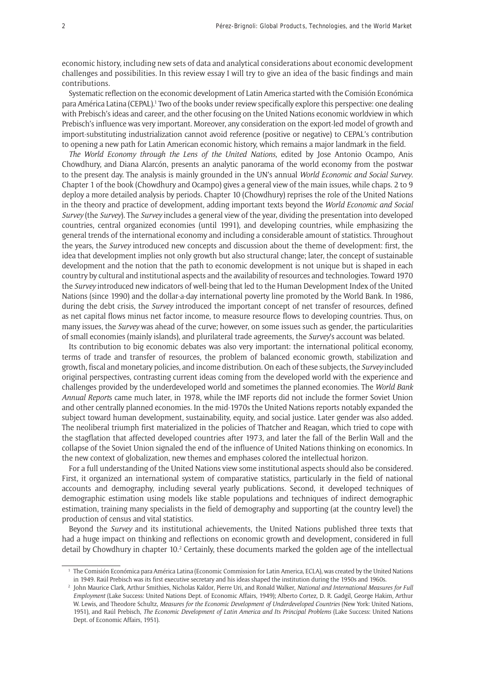economic history, including new sets of data and analytical considerations about economic development challenges and possibilities. In this review essay I will try to give an idea of the basic findings and main contributions.

Systematic reflection on the economic development of Latin America started with the Comisión Económica para América Latina (CEPAL).<sup>1</sup> Two of the books under review specifically explore this perspective: one dealing with Prebisch's ideas and career, and the other focusing on the United Nations economic worldview in which Prebisch's influence was very important. Moreover, any consideration on the export-led model of growth and import-substituting industrialization cannot avoid reference (positive or negative) to CEPAL's contribution to opening a new path for Latin American economic history, which remains a major landmark in the field.

*The World Economy through the Lens of the United Nations*, edited by Jose Antonio Ocampo, Anis Chowdhury, and Diana Alarcón, presents an analytic panorama of the world economy from the postwar to the present day. The analysis is mainly grounded in the UN's annual *World Economic and Social Survey*. Chapter 1 of the book (Chowdhury and Ocampo) gives a general view of the main issues, while chaps. 2 to 9 deploy a more detailed analysis by periods. Chapter 10 (Chowdhury) reprises the role of the United Nations in the theory and practice of development, adding important texts beyond the *World Economic and Social Survey* (the *Survey*). The *Survey* includes a general view of the year, dividing the presentation into developed countries, central organized economies (until 1991), and developing countries, while emphasizing the general trends of the international economy and including a considerable amount of statistics. Throughout the years, the *Survey* introduced new concepts and discussion about the theme of development: first, the idea that development implies not only growth but also structural change; later, the concept of sustainable development and the notion that the path to economic development is not unique but is shaped in each country by cultural and institutional aspects and the availability of resources and technologies. Toward 1970 the *Survey* introduced new indicators of well-being that led to the Human Development Index of the United Nations (since 1990) and the dollar-a-day international poverty line promoted by the World Bank. In 1986, during the debt crisis, the *Survey* introduced the important concept of net transfer of resources, defined as net capital flows minus net factor income, to measure resource flows to developing countries. Thus, on many issues, the *Survey* was ahead of the curve; however, on some issues such as gender, the particularities of small economies (mainly islands), and plurilateral trade agreements, the *Survey*'s account was belated.

Its contribution to big economic debates was also very important: the international political economy, terms of trade and transfer of resources, the problem of balanced economic growth, stabilization and growth, fiscal and monetary policies, and income distribution. On each of these subjects, the *Survey* included original perspectives, contrasting current ideas coming from the developed world with the experience and challenges provided by the underdeveloped world and sometimes the planned economies. The *World Bank Annual Report*s came much later, in 1978, while the IMF reports did not include the former Soviet Union and other centrally planned economies. In the mid-1970s the United Nations reports notably expanded the subject toward human development, sustainability, equity, and social justice. Later gender was also added. The neoliberal triumph first materialized in the policies of Thatcher and Reagan, which tried to cope with the stagflation that affected developed countries after 1973, and later the fall of the Berlin Wall and the collapse of the Soviet Union signaled the end of the influence of United Nations thinking on economics. In the new context of globalization, new themes and emphases colored the intellectual horizon.

For a full understanding of the United Nations view some institutional aspects should also be considered. First, it organized an international system of comparative statistics, particularly in the field of national accounts and demography, including several yearly publications. Second, it developed techniques of demographic estimation using models like stable populations and techniques of indirect demographic estimation, training many specialists in the field of demography and supporting (at the country level) the production of census and vital statistics.

Beyond the *Survey* and its institutional achievements, the United Nations published three texts that had a huge impact on thinking and reflections on economic growth and development, considered in full detail by Chowdhury in chapter 10.<sup>2</sup> Certainly, these documents marked the golden age of the intellectual

<sup>1</sup> The Comisión Económica para América Latina (Economic Commission for Latin America, ECLA), was created by the United Nations in 1949. Raúl Prebisch was its first executive secretary and his ideas shaped the institution during the 1950s and 1960s.

<sup>2</sup> John Maurice Clark, Arthur Smithies, Nicholas Kaldor, Pierre Uri, and Ronald Walker, *National and International Measures for Full Employment* (Lake Success: United Nations Dept. of Economic Affairs, 1949); Alberto Cortez, D. R. Gadgil, George Hakim, Arthur W. Lewis, and Theodore Schultz, *Measures for the Economic Development of Underdeveloped Countries* (New York: United Nations, 1951), and Raúl Prebisch, *The Economic Development of Latin America and Its Principal Problems* (Lake Success: United Nations Dept. of Economic Affairs, 1951).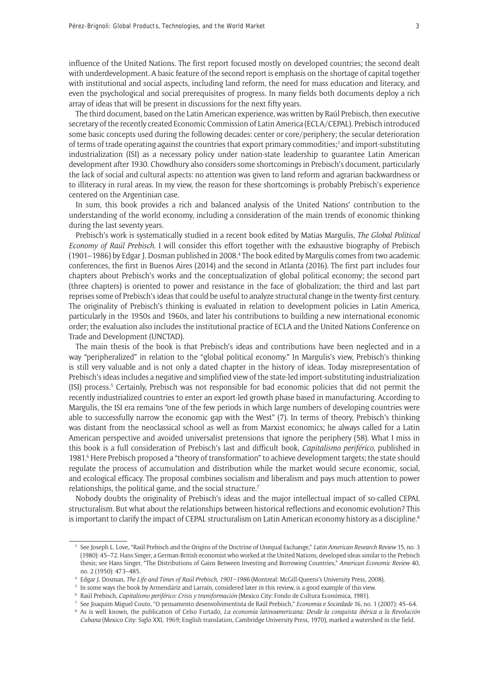influence of the United Nations. The first report focused mostly on developed countries; the second dealt with underdevelopment. A basic feature of the second report is emphasis on the shortage of capital together with institutional and social aspects, including land reform, the need for mass education and literacy, and even the psychological and social prerequisites of progress. In many fields both documents deploy a rich array of ideas that will be present in discussions for the next fifty years.

The third document, based on the Latin American experience, was written by Raúl Prebisch, then executive secretary of the recently created Economic Commission of Latin America (ECLA/CEPAL). Prebisch introduced some basic concepts used during the following decades: center or core/periphery; the secular deterioration of terms of trade operating against the countries that export primary commodities;<sup>3</sup> and import-substituting industrialization (ISI) as a necessary policy under nation-state leadership to guarantee Latin American development after 1930. Chowdhury also considers some shortcomings in Prebisch's document, particularly the lack of social and cultural aspects: no attention was given to land reform and agrarian backwardness or to illiteracy in rural areas. In my view, the reason for these shortcomings is probably Prebisch's experience centered on the Argentinian case.

In sum, this book provides a rich and balanced analysis of the United Nations' contribution to the understanding of the world economy, including a consideration of the main trends of economic thinking during the last seventy years.

Prebisch's work is systematically studied in a recent book edited by Matias Margulis, *The Global Political Economy of Raúl Prebisch*. I will consider this effort together with the exhaustive biography of Prebisch (1901–1986) by Edgar J. Dosman published in 2008.<sup>4</sup> The book edited by Margulis comes from two academic conferences, the first in Buenos Aires (2014) and the second in Atlanta (2016). The first part includes four chapters about Prebisch's works and the conceptualization of global political economy; the second part (three chapters) is oriented to power and resistance in the face of globalization; the third and last part reprises some of Prebisch's ideas that could be useful to analyze structural change in the twenty-first century. The originality of Prebisch's thinking is evaluated in relation to development policies in Latin America, particularly in the 1950s and 1960s, and later his contributions to building a new international economic order; the evaluation also includes the institutional practice of ECLA and the United Nations Conference on Trade and Development (UNCTAD).

The main thesis of the book is that Prebisch's ideas and contributions have been neglected and in a way "peripheralized" in relation to the "global political economy." In Margulis's view, Prebisch's thinking is still very valuable and is not only a dated chapter in the history of ideas. Today misrepresentation of Prebisch's ideas includes a negative and simplified view of the state-led import-substituting industrialization (ISI) process.<sup>5</sup> Certainly, Prebisch was not responsible for bad economic policies that did not permit the recently industrialized countries to enter an export-led growth phase based in manufacturing. According to Margulis, the ISI era remains "one of the few periods in which large numbers of developing countries were able to successfully narrow the economic gap with the West" (7). In terms of theory, Prebisch's thinking was distant from the neoclassical school as well as from Marxist economics; he always called for a Latin American perspective and avoided universalist pretensions that ignore the periphery (58). What I miss in this book is a full consideration of Prebisch's last and difficult book, *Capitalismo periférico*, published in 1981.<sup>6</sup> Here Prebisch proposed a "theory of transformation" to achieve development targets; the state should regulate the process of accumulation and distribution while the market would secure economic, social, and ecological efficacy. The proposal combines socialism and liberalism and pays much attention to power relationships, the political game, and the social structure.<sup>7</sup>

Nobody doubts the originality of Prebisch's ideas and the major intellectual impact of so-called CEPAL structuralism. But what about the relationships between historical reflections and economic evolution? This is important to clarify the impact of CEPAL structuralism on Latin American economy history as a discipline. $8$ 

<sup>3</sup> See Joseph L. Love, "Raúl Prebisch and the Origins of the Doctrine of Unequal Exchange," *Latin American Research Review* 15, no. 3 (1980): 45–72. Hans Singer, a German-British economist who worked at the United Nations, developed ideas similar to the Prebisch thesis; see Hans Singer, "The Distributions of Gains Between Investing and Borrowing Countries," *American Economic Review* 40, no. 2 (1950): 473–485.

<sup>4</sup> Edgar J. Dosman, *The Life and Times of Raúl Prebisch, 1901–1986* (Montreal: McGill-Queens's University Press, 2008).

<sup>5</sup> In some ways the book by Armendáriz and Larraín, considered later in this review, is a good example of this view.

<sup>6</sup> Raúl Prebisch, *Capitalismo periférico: Crisis y transformación* (Mexico City: Fondo de Cultura Económica, 1981).

<sup>7</sup> See Joaquim Miguel Couto, "O pensamento desenvolvimentista de Raúl Prebisch," *Economia e Sociedade* 16, no. 1 (2007): 45–64.

<sup>8</sup> As is well known, the publication of Celso Furtado, *La economía latinoamericana: Desde la conquista ibérica a la Revolución Cubana* (Mexico City: Siglo XXI, 1969; English translation, Cambridge University Press, 1970), marked a watershed in the field.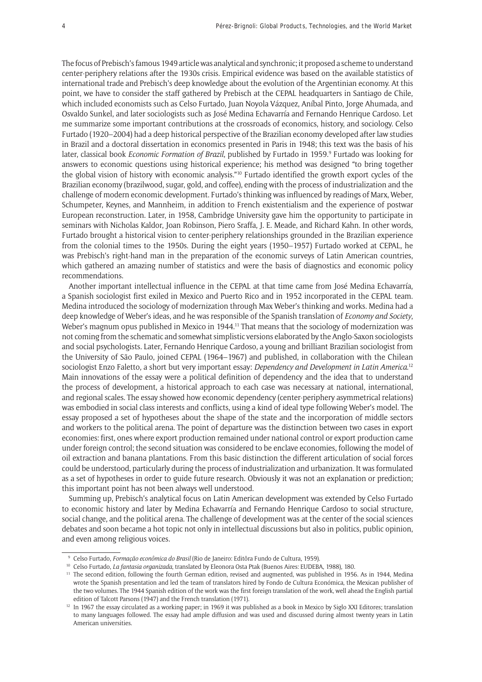The focus of Prebisch's famous 1949 article was analytical and synchronic; it proposed a scheme to understand center-periphery relations after the 1930s crisis. Empirical evidence was based on the available statistics of international trade and Prebisch's deep knowledge about the evolution of the Argentinian economy. At this point, we have to consider the staff gathered by Prebisch at the CEPAL headquarters in Santiago de Chile, which included economists such as Celso Furtado, Juan Noyola Vázquez, Aníbal Pinto, Jorge Ahumada, and Osvaldo Sunkel, and later sociologists such as José Medina Echavarría and Fernando Henrique Cardoso. Let me summarize some important contributions at the crossroads of economics, history, and sociology. Celso Furtado (1920–2004) had a deep historical perspective of the Brazilian economy developed after law studies in Brazil and a doctoral dissertation in economics presented in Paris in 1948; this text was the basis of his later, classical book *Economic Formation of Brazil*, published by Furtado in 1959.9 Furtado was looking for answers to economic questions using historical experience; his method was designed "to bring together the global vision of history with economic analysis."10 Furtado identified the growth export cycles of the Brazilian economy (brazilwood, sugar, gold, and coffee), ending with the process of industrialization and the challenge of modern economic development. Furtado's thinking was influenced by readings of Marx, Weber, Schumpeter, Keynes, and Mannheim, in addition to French existentialism and the experience of postwar European reconstruction. Later, in 1958, Cambridge University gave him the opportunity to participate in seminars with Nicholas Kaldor, Joan Robinson, Piero Sraffa, J. E. Meade, and Richard Kahn. In other words, Furtado brought a historical vision to center-periphery relationships grounded in the Brazilian experience from the colonial times to the 1950s. During the eight years (1950–1957) Furtado worked at CEPAL, he was Prebisch's right-hand man in the preparation of the economic surveys of Latin American countries, which gathered an amazing number of statistics and were the basis of diagnostics and economic policy recommendations.

Another important intellectual influence in the CEPAL at that time came from José Medina Echavarría, a Spanish sociologist first exiled in Mexico and Puerto Rico and in 1952 incorporated in the CEPAL team. Medina introduced the sociology of modernization through Max Weber's thinking and works. Medina had a deep knowledge of Weber's ideas, and he was responsible of the Spanish translation of *Economy and Society*, Weber's magnum opus published in Mexico in 1944.<sup>11</sup> That means that the sociology of modernization was not coming from the schematic and somewhat simplistic versions elaborated by the Anglo-Saxon sociologists and social psychologists. Later, Fernando Henrique Cardoso, a young and brilliant Brazilian sociologist from the University of São Paulo, joined CEPAL (1964–1967) and published, in collaboration with the Chilean sociologist Enzo Faletto, a short but very important essay: *Dependency and Development in Latin America*. 12 Main innovations of the essay were a political definition of dependency and the idea that to understand the process of development, a historical approach to each case was necessary at national, international, and regional scales. The essay showed how economic dependency (center-periphery asymmetrical relations) was embodied in social class interests and conflicts, using a kind of ideal type following Weber's model. The essay proposed a set of hypotheses about the shape of the state and the incorporation of middle sectors and workers to the political arena. The point of departure was the distinction between two cases in export economies: first, ones where export production remained under national control or export production came under foreign control; the second situation was considered to be enclave economies, following the model of oil extraction and banana plantations. From this basic distinction the different articulation of social forces could be understood, particularly during the process of industrialization and urbanization. It was formulated as a set of hypotheses in order to guide future research. Obviously it was not an explanation or prediction; this important point has not been always well understood.

Summing up, Prebisch's analytical focus on Latin American development was extended by Celso Furtado to economic history and later by Medina Echavarría and Fernando Henrique Cardoso to social structure, social change, and the political arena. The challenge of development was at the center of the social sciences debates and soon became a hot topic not only in intellectual discussions but also in politics, public opinion, and even among religious voices.

<sup>9</sup> Celso Furtado, *Formação econômica do Brasil* (Rio de Janeiro: Editôra Fundo de Cultura, 1959).

<sup>10</sup> Celso Furtado, *La fantasia organizada*, translated by Eleonora Osta Ptak (Buenos Aires: EUDEBA, 1988), 180.

<sup>&</sup>lt;sup>11</sup> The second edition, following the fourth German edition, revised and augmented, was published in 1956. As in 1944, Medina wrote the Spanish presentation and led the team of translators hired by Fondo de Cultura Económica, the Mexican publisher of the two volumes. The 1944 Spanish edition of the work was the first foreign translation of the work, well ahead the English partial edition of Talcott Parsons (1947) and the French translation (1971).

 $12$  In 1967 the essay circulated as a working paper; in 1969 it was published as a book in Mexico by Siglo XXI Editores; translation to many languages followed. The essay had ample diffusion and was used and discussed during almost twenty years in Latin American universities.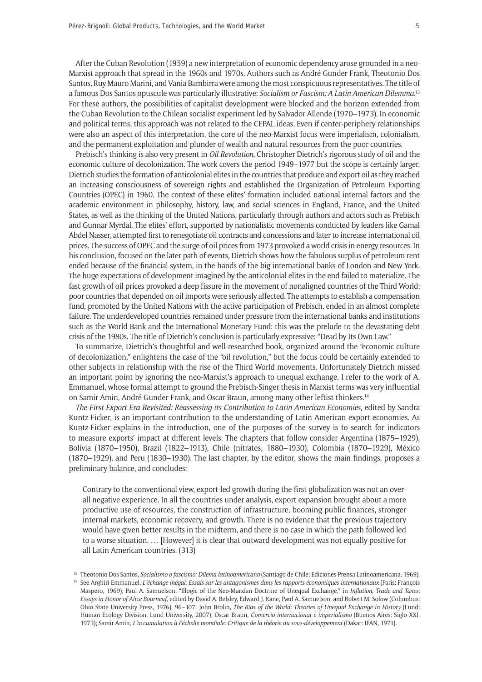After the Cuban Revolution (1959) a new interpretation of economic dependency arose grounded in a neo-Marxist approach that spread in the 1960s and 1970s. Authors such as André Gunder Frank, Theotonio Dos Santos, Ruy Mauro Marini, and Vania Bambirra were among the most conspicuous representatives. The title of a famous Dos Santos opuscule was particularly illustrative: *Socialism or Fascism: A Latin American Dilemma*. 13 For these authors, the possibilities of capitalist development were blocked and the horizon extended from the Cuban Revolution to the Chilean socialist experiment led by Salvador Allende (1970–1973). In economic and political terms, this approach was not related to the CEPAL ideas. Even if center-periphery relationships were also an aspect of this interpretation, the core of the neo-Marxist focus were imperialism, colonialism, and the permanent exploitation and plunder of wealth and natural resources from the poor countries.

Prebisch's thinking is also very present in *Oil Revolution*, Christopher Dietrich's rigorous study of oil and the economic culture of decolonization. The work covers the period 1949–1977 but the scope is certainly larger. Dietrich studies the formation of anticolonial elites in the countries that produce and export oil as they reached an increasing consciousness of sovereign rights and established the Organization of Petroleum Exporting Countries (OPEC) in 1960. The context of these elites' formation included national internal factors and the academic environment in philosophy, history, law, and social sciences in England, France, and the United States, as well as the thinking of the United Nations, particularly through authors and actors such as Prebisch and Gunnar Myrdal. The elites' effort, supported by nationalistic movements conducted by leaders like Gamal Abdel Nasser, attempted first to renegotiate oil contracts and concessions and later to increase international oil prices. The success of OPEC and the surge of oil prices from 1973 provoked a world crisis in energy resources. In his conclusion, focused on the later path of events, Dietrich shows how the fabulous surplus of petroleum rent ended because of the financial system, in the hands of the big international banks of London and New York. The huge expectations of development imagined by the anticolonial elites in the end failed to materialize. The fast growth of oil prices provoked a deep fissure in the movement of nonaligned countries of the Third World; poor countries that depended on oil imports were seriously affected. The attempts to establish a compensation fund, promoted by the United Nations with the active participation of Prebisch, ended in an almost complete failure. The underdeveloped countries remained under pressure from the international banks and institutions such as the World Bank and the International Monetary Fund: this was the prelude to the devastating debt crisis of the 1980s. The title of Dietrich's conclusion is particularly expressive: "Dead by Its Own Law."

To summarize, Dietrich's thoughtful and well-researched book, organized around the "economic culture of decolonization," enlightens the case of the "oil revolution," but the focus could be certainly extended to other subjects in relationship with the rise of the Third World movements. Unfortunately Dietrich missed an important point by ignoring the neo-Marxist's approach to unequal exchange. I refer to the work of A. Emmanuel, whose formal attempt to ground the Prebisch-Singer thesis in Marxist terms was very influential on Samir Amin, André Gunder Frank, and Oscar Braun, among many other leftist thinkers.14

*The First Export Era Revisited: Reassessing its Contribution to Latin American Economies*, edited by Sandra Kuntz-Ficker, is an important contribution to the understanding of Latin American export economies. As Kuntz-Ficker explains in the introduction, one of the purposes of the survey is to search for indicators to measure exports' impact at different levels. The chapters that follow consider Argentina (1875–1929), Bolivia (1870–1950), Brazil (1822–1913), Chile (nitrates, 1880–1930), Colombia (1870–1929), México (1870–1929), and Peru (1830–1930). The last chapter, by the editor, shows the main findings, proposes a preliminary balance, and concludes:

Contrary to the conventional view, export-led growth during the first globalization was not an overall negative experience. In all the countries under analysis, export expansion brought about a more productive use of resources, the construction of infrastructure, booming public finances, stronger internal markets, economic recovery, and growth. There is no evidence that the previous trajectory would have given better results in the midterm, and there is no case in which the path followed led to a worse situation. … [However] it is clear that outward development was not equally positive for all Latin American countries. (313)

<sup>13</sup> Theotonio Dos Santos, *Socialismo o fascismo: Dilema latinoamericano* (Santiago de Chile: Ediciones Prensa Latinoamericana, 1969).

<sup>14</sup> See Arghiri Emmanuel, *L'échange inégal: Essais sur les antagonismes dans les rapports économiques internationaux* (Paris: François Maspero, 1969); Paul A. Samuelson, "Illogic of the Neo-Marxian Doctrine of Unequal Exchange," in *Inflation, Trade and Taxes: Essays in Honor of Alice Bourneuf*, edited by David A. Belsley, Edward J. Kane, Paul A. Samuelson, and Robert M. Solow (Columbus: Ohio State University Press, 1976), 96–107; John Brolin, *The Bias of the World: Theories of Unequal Exchange in History* (Lund: Human Ecology Division, Lund University, 2007); Oscar Braun, *Comercio internacional e imperialismo* (Buenos Aires: Siglo XXI, 1973); Samir Amin, *L'accumulation à l'échelle mondiale: Critique de la théorie du sous-développement* (Dakar: IFAN, 1971).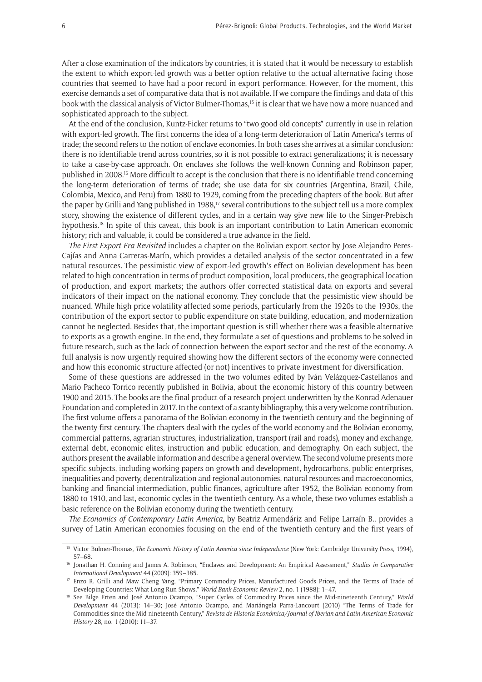After a close examination of the indicators by countries, it is stated that it would be necessary to establish the extent to which export-led growth was a better option relative to the actual alternative facing those countries that seemed to have had a poor record in export performance. However, for the moment, this exercise demands a set of comparative data that is not available. If we compare the findings and data of this book with the classical analysis of Victor Bulmer-Thomas,<sup>15</sup> it is clear that we have now a more nuanced and sophisticated approach to the subject.

At the end of the conclusion, Kuntz-Ficker returns to "two good old concepts" currently in use in relation with export-led growth. The first concerns the idea of a long-term deterioration of Latin America's terms of trade; the second refers to the notion of enclave economies. In both cases she arrives at a similar conclusion: there is no identifiable trend across countries, so it is not possible to extract generalizations; it is necessary to take a case-by-case approach. On enclaves she follows the well-known Conning and Robinson paper, published in 2008.16 More difficult to accept is the conclusion that there is no identifiable trend concerning the long-term deterioration of terms of trade; she use data for six countries (Argentina, Brazil, Chile, Colombia, Mexico, and Peru) from 1880 to 1929, coming from the preceding chapters of the book. But after the paper by Grilli and Yang published in 1988,<sup>17</sup> several contributions to the subject tell us a more complex story, showing the existence of different cycles, and in a certain way give new life to the Singer-Prebisch hypothesis.18 In spite of this caveat, this book is an important contribution to Latin American economic history; rich and valuable, it could be considered a true advance in the field.

*The First Export Era Revisited* includes a chapter on the Bolivian export sector by Jose Alejandro Peres-Cajías and Anna Carreras-Marín, which provides a detailed analysis of the sector concentrated in a few natural resources. The pessimistic view of export-led growth's effect on Bolivian development has been related to high concentration in terms of product composition, local producers, the geographical location of production, and export markets; the authors offer corrected statistical data on exports and several indicators of their impact on the national economy. They conclude that the pessimistic view should be nuanced. While high price volatility affected some periods, particularly from the 1920s to the 1930s, the contribution of the export sector to public expenditure on state building, education, and modernization cannot be neglected. Besides that, the important question is still whether there was a feasible alternative to exports as a growth engine. In the end, they formulate a set of questions and problems to be solved in future research, such as the lack of connection between the export sector and the rest of the economy. A full analysis is now urgently required showing how the different sectors of the economy were connected and how this economic structure affected (or not) incentives to private investment for diversification.

Some of these questions are addressed in the two volumes edited by Iván Velázquez-Castellanos and Mario Pacheco Torrico recently published in Bolivia, about the economic history of this country between 1900 and 2015. The books are the final product of a research project underwritten by the Konrad Adenauer Foundation and completed in 2017. In the context of a scanty bibliography, this a very welcome contribution. The first volume offers a panorama of the Bolivian economy in the twentieth century and the beginning of the twenty-first century. The chapters deal with the cycles of the world economy and the Bolivian economy, commercial patterns, agrarian structures, industrialization, transport (rail and roads), money and exchange, external debt, economic elites, instruction and public education, and demography. On each subject, the authors present the available information and describe a general overview. The second volume presents more specific subjects, including working papers on growth and development, hydrocarbons, public enterprises, inequalities and poverty, decentralization and regional autonomies, natural resources and macroeconomics, banking and financial intermediation, public finances, agriculture after 1952, the Bolivian economy from 1880 to 1910, and last, economic cycles in the twentieth century. As a whole, these two volumes establish a basic reference on the Bolivian economy during the twentieth century.

*The Economics of Contemporary Latin America*, by Beatriz Armendáriz and Felipe Larraín B., provides a survey of Latin American economies focusing on the end of the twentieth century and the first years of

<sup>15</sup> Victor Bulmer-Thomas, *The Economic History of Latin America since Independence* (New York: Cambridge University Press, 1994), 57–68.

<sup>16</sup> Jonathan H. Conning and James A. Robinson, "Enclaves and Development: An Empirical Assessment," *Studies in Comparative International Development* 44 (2009): 359–385.

<sup>&</sup>lt;sup>17</sup> Enzo R. Grilli and Maw Cheng Yang, "Primary Commodity Prices, Manufactured Goods Prices, and the Terms of Trade of Developing Countries: What Long Run Shows," *World Bank Economic Review* 2, no. 1 (1988): 1–47.

<sup>18</sup> See Bilge Erten and José Antonio Ocampo, "Super Cycles of Commodity Prices since the Mid-nineteenth Century," *World Development* 44 (2013): 14–30; José Antonio Ocampo, and Mariángela Parra-Lancourt (2010) "The Terms of Trade for Commodities since the Mid-nineteenth Century," *Revista de Historia Económica/Journal of Iberian and Latin American Economic History* 28, no. 1 (2010): 11–37.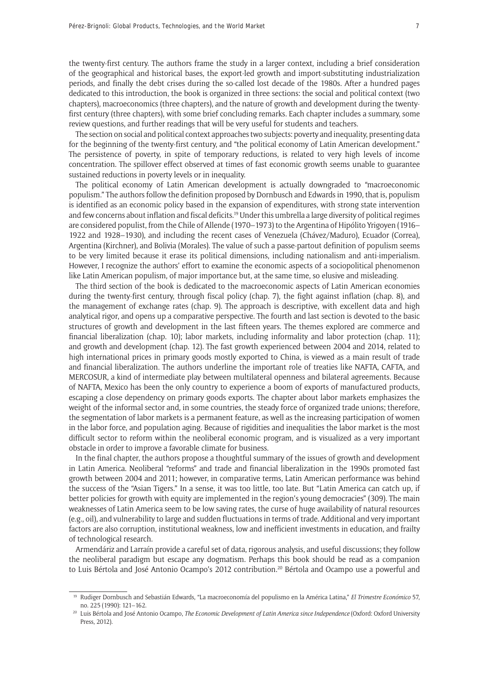the twenty-first century. The authors frame the study in a larger context, including a brief consideration of the geographical and historical bases, the export-led growth and import-substituting industrialization periods, and finally the debt crises during the so-called lost decade of the 1980s. After a hundred pages dedicated to this introduction, the book is organized in three sections: the social and political context (two chapters), macroeconomics (three chapters), and the nature of growth and development during the twentyfirst century (three chapters), with some brief concluding remarks. Each chapter includes a summary, some review questions, and further readings that will be very useful for students and teachers.

The section on social and political context approaches two subjects: poverty and inequality, presenting data for the beginning of the twenty-first century, and "the political economy of Latin American development." The persistence of poverty, in spite of temporary reductions, is related to very high levels of income concentration. The spillover effect observed at times of fast economic growth seems unable to guarantee sustained reductions in poverty levels or in inequality.

The political economy of Latin American development is actually downgraded to "macroeconomic populism." The authors follow the definition proposed by Dornbusch and Edwards in 1990, that is, populism is identified as an economic policy based in the expansion of expenditures, with strong state intervention and few concerns about inflation and fiscal deficits.<sup>19</sup> Under this umbrella a large diversity of political regimes are considered populist, from the Chile of Allende (1970–1973) to the Argentina of Hipólito Yrigoyen (1916– 1922 and 1928–1930), and including the recent cases of Venezuela (Chávez/Maduro), Ecuador (Correa), Argentina (Kirchner), and Bolivia (Morales). The value of such a passe-partout definition of populism seems to be very limited because it erase its political dimensions, including nationalism and anti-imperialism. However, I recognize the authors' effort to examine the economic aspects of a sociopolitical phenomenon like Latin American populism, of major importance but, at the same time, so elusive and misleading.

The third section of the book is dedicated to the macroeconomic aspects of Latin American economies during the twenty-first century, through fiscal policy (chap. 7), the fight against inflation (chap. 8), and the management of exchange rates (chap. 9). The approach is descriptive, with excellent data and high analytical rigor, and opens up a comparative perspective. The fourth and last section is devoted to the basic structures of growth and development in the last fifteen years. The themes explored are commerce and financial liberalization (chap. 10); labor markets, including informality and labor protection (chap. 11); and growth and development (chap. 12). The fast growth experienced between 2004 and 2014, related to high international prices in primary goods mostly exported to China, is viewed as a main result of trade and financial liberalization. The authors underline the important role of treaties like NAFTA, CAFTA, and MERCOSUR, a kind of intermediate play between multilateral openness and bilateral agreements. Because of NAFTA, Mexico has been the only country to experience a boom of exports of manufactured products, escaping a close dependency on primary goods exports. The chapter about labor markets emphasizes the weight of the informal sector and, in some countries, the steady force of organized trade unions; therefore, the segmentation of labor markets is a permanent feature, as well as the increasing participation of women in the labor force, and population aging. Because of rigidities and inequalities the labor market is the most difficult sector to reform within the neoliberal economic program, and is visualized as a very important obstacle in order to improve a favorable climate for business.

In the final chapter, the authors propose a thoughtful summary of the issues of growth and development in Latin America. Neoliberal "reforms" and trade and financial liberalization in the 1990s promoted fast growth between 2004 and 2011; however, in comparative terms, Latin American performance was behind the success of the "Asian Tigers." In a sense, it was too little, too late. But "Latin America can catch up, if better policies for growth with equity are implemented in the region's young democracies" (309). The main weaknesses of Latin America seem to be low saving rates, the curse of huge availability of natural resources (e.g., oil), and vulnerability to large and sudden fluctuations in terms of trade. Additional and very important factors are also corruption, institutional weakness, low and inefficient investments in education, and frailty of technological research.

Armendáriz and Larraín provide a careful set of data, rigorous analysis, and useful discussions; they follow the neoliberal paradigm but escape any dogmatism. Perhaps this book should be read as a companion to Luis Bértola and José Antonio Ocampo's 2012 contribution.<sup>20</sup> Bértola and Ocampo use a powerful and

<sup>19</sup> Rudiger Dornbusch and Sebastián Edwards, "La macroeconomía del populismo en la América Latina," *El Trimestre Económico* 57, no. 225 (1990): 121–162.

<sup>20</sup> Luis Bértola and José Antonio Ocampo, *The Economic Development of Latin America since Independence* (Oxford: Oxford University Press, 2012).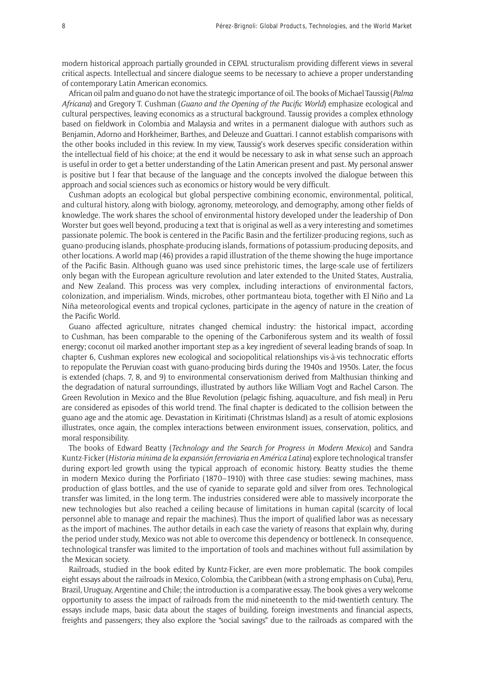modern historical approach partially grounded in CEPAL structuralism providing different views in several critical aspects. Intellectual and sincere dialogue seems to be necessary to achieve a proper understanding of contemporary Latin American economics.

African oil palm and guano do not have the strategic importance of oil. The books of Michael Taussig (*Palma Africana*) and Gregory T. Cushman (*Guano and the Opening of the Pacific World*) emphasize ecological and cultural perspectives, leaving economics as a structural background. Taussig provides a complex ethnology based on fieldwork in Colombia and Malaysia and writes in a permanent dialogue with authors such as Benjamin, Adorno and Horkheimer, Barthes, and Deleuze and Guattari. I cannot establish comparisons with the other books included in this review. In my view, Taussig's work deserves specific consideration within the intellectual field of his choice; at the end it would be necessary to ask in what sense such an approach is useful in order to get a better understanding of the Latin American present and past. My personal answer is positive but I fear that because of the language and the concepts involved the dialogue between this approach and social sciences such as economics or history would be very difficult.

Cushman adopts an ecological but global perspective combining economic, environmental, political, and cultural history, along with biology, agronomy, meteorology, and demography, among other fields of knowledge. The work shares the school of environmental history developed under the leadership of Don Worster but goes well beyond, producing a text that is original as well as a very interesting and sometimes passionate polemic. The book is centered in the Pacific Basin and the fertilizer-producing regions, such as guano-producing islands, phosphate-producing islands, formations of potassium-producing deposits, and other locations. A world map (46) provides a rapid illustration of the theme showing the huge importance of the Pacific Basin. Although guano was used since prehistoric times, the large-scale use of fertilizers only began with the European agriculture revolution and later extended to the United States, Australia, and New Zealand. This process was very complex, including interactions of environmental factors, colonization, and imperialism. Winds, microbes, other portmanteau biota, together with El Niño and La Niña meteorological events and tropical cyclones, participate in the agency of nature in the creation of the Pacific World.

Guano affected agriculture, nitrates changed chemical industry: the historical impact, according to Cushman, has been comparable to the opening of the Carboniferous system and its wealth of fossil energy; coconut oil marked another important step as a key ingredient of several leading brands of soap. In chapter 6, Cushman explores new ecological and sociopolitical relationships vis-à-vis technocratic efforts to repopulate the Peruvian coast with guano-producing birds during the 1940s and 1950s. Later, the focus is extended (chaps. 7, 8, and 9) to environmental conservationism derived from Malthusian thinking and the degradation of natural surroundings, illustrated by authors like William Vogt and Rachel Carson. The Green Revolution in Mexico and the Blue Revolution (pelagic fishing, aquaculture, and fish meal) in Peru are considered as episodes of this world trend. The final chapter is dedicated to the collision between the guano age and the atomic age. Devastation in Kiritimati (Christmas Island) as a result of atomic explosions illustrates, once again, the complex interactions between environment issues, conservation, politics, and moral responsibility.

The books of Edward Beatty (*Technology and the Search for Progress in Modern Mexico*) and Sandra Kuntz-Ficker (*Historia mínima de la expansión ferroviaria en América Latina*) explore technological transfer during export-led growth using the typical approach of economic history. Beatty studies the theme in modern Mexico during the Porfiriato (1870–1910) with three case studies: sewing machines, mass production of glass bottles, and the use of cyanide to separate gold and silver from ores. Technological transfer was limited, in the long term. The industries considered were able to massively incorporate the new technologies but also reached a ceiling because of limitations in human capital (scarcity of local personnel able to manage and repair the machines). Thus the import of qualified labor was as necessary as the import of machines. The author details in each case the variety of reasons that explain why, during the period under study, Mexico was not able to overcome this dependency or bottleneck. In consequence, technological transfer was limited to the importation of tools and machines without full assimilation by the Mexican society.

Railroads, studied in the book edited by Kuntz-Ficker, are even more problematic. The book compiles eight essays about the railroads in Mexico, Colombia, the Caribbean (with a strong emphasis on Cuba), Peru, Brazil, Uruguay, Argentine and Chile; the introduction is a comparative essay. The book gives a very welcome opportunity to assess the impact of railroads from the mid-nineteenth to the mid-twentieth century. The essays include maps, basic data about the stages of building, foreign investments and financial aspects, freights and passengers; they also explore the "social savings" due to the railroads as compared with the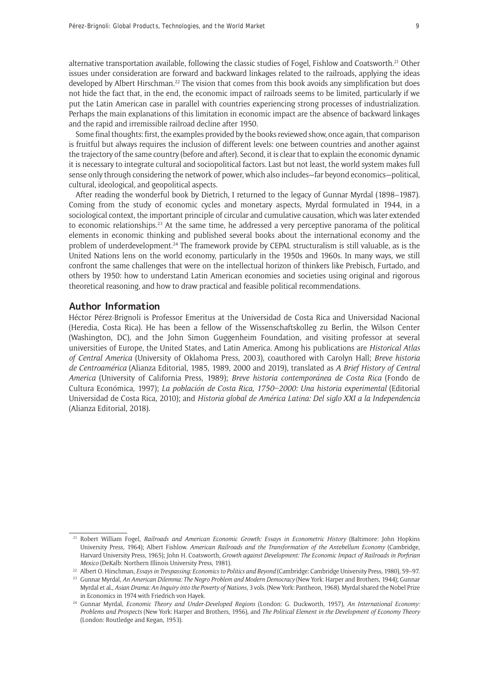alternative transportation available, following the classic studies of Fogel, Fishlow and Coatsworth.21 Other issues under consideration are forward and backward linkages related to the railroads, applying the ideas developed by Albert Hirschman.<sup>22</sup> The vision that comes from this book avoids any simplification but does not hide the fact that, in the end, the economic impact of railroads seems to be limited, particularly if we put the Latin American case in parallel with countries experiencing strong processes of industrialization. Perhaps the main explanations of this limitation in economic impact are the absence of backward linkages and the rapid and irremissible railroad decline after 1950.

Some final thoughts: first, the examples provided by the books reviewed show, once again, that comparison is fruitful but always requires the inclusion of different levels: one between countries and another against the trajectory of the same country (before and after). Second, it is clear that to explain the economic dynamic it is necessary to integrate cultural and sociopolitical factors. Last but not least, the world system makes full sense only through considering the network of power, which also includes—far beyond economics—political, cultural, ideological, and geopolitical aspects.

After reading the wonderful book by Dietrich, I returned to the legacy of Gunnar Myrdal (1898–1987). Coming from the study of economic cycles and monetary aspects, Myrdal formulated in 1944, in a sociological context, the important principle of circular and cumulative causation, which was later extended to economic relationships.23 At the same time, he addressed a very perceptive panorama of the political elements in economic thinking and published several books about the international economy and the problem of underdevelopment.<sup>24</sup> The framework provide by CEPAL structuralism is still valuable, as is the United Nations lens on the world economy, particularly in the 1950s and 1960s. In many ways, we still confront the same challenges that were on the intellectual horizon of thinkers like Prebisch, Furtado, and others by 1950: how to understand Latin American economies and societies using original and rigorous theoretical reasoning, and how to draw practical and feasible political recommendations.

## **Author Information**

Héctor Pérez-Brignoli is Professor Emeritus at the Universidad de Costa Rica and Universidad Nacional (Heredia, Costa Rica). He has been a fellow of the Wissenschaftskolleg zu Berlin, the Wilson Center (Washington, DC), and the John Simon Guggenheim Foundation, and visiting professor at several universities of Europe, the United States, and Latin America. Among his publications are *Historical Atlas of Central America* (University of Oklahoma Press, 2003), coauthored with Carolyn Hall; *Breve historia de Centroamérica* (Alianza Editorial, 1985, 1989, 2000 and 2019), translated as *A Brief History of Central America* (University of California Press, 1989); *Breve historia contemporánea de Costa Rica* (Fondo de Cultura Económica, 1997); *La población de Costa Rica, 1750–2000: Una historia experimental* (Editorial Universidad de Costa Rica, 2010); and *Historia global de América Latina: Del siglo XXI a la Independencia* (Alianza Editorial, 2018).

<sup>21</sup> Robert William Fogel, *Railroads and American Economic Growth: Essays in Econometric History* (Baltimore: John Hopkins University Press, 1964); Albert Fishlow. *American Railroads and the Transformation of the Antebellum Economy* (Cambridge, Harvard University Press, 1965); John H. Coatsworth, *Growth against Development: The Economic Impact of Railroads in Porfirian Mexico* (DeKalb: Northern Illinois University Press, 1981).

<sup>22</sup> Albert O. Hirschman, *Essays in Trespassing: Economics to Politics and Beyond* (Cambridge: Cambridge University Press, 1980), 59–97.

<sup>23</sup> Gunnar Myrdal, *An American Dilemma: The Negro Problem and Modern Democracy* (New York: Harper and Brothers, 1944); Gunnar Myrdal et al., *Asian Drama: An Inquiry into the Poverty of Nations*, 3 vols. (New York: Pantheon, 1968). Myrdal shared the Nobel Prize in Economics in 1974 with Friedrich von Hayek.

<sup>24</sup> Gunnar Myrdal, *Economic Theory and Under-Developed Regions* (London: G. Duckworth, 1957), *An International Economy: Problems and Prospects* (New York: Harper and Brothers, 1956), and *The Political Element in the Development of Economy Theory* (London: Routledge and Kegan, 1953).